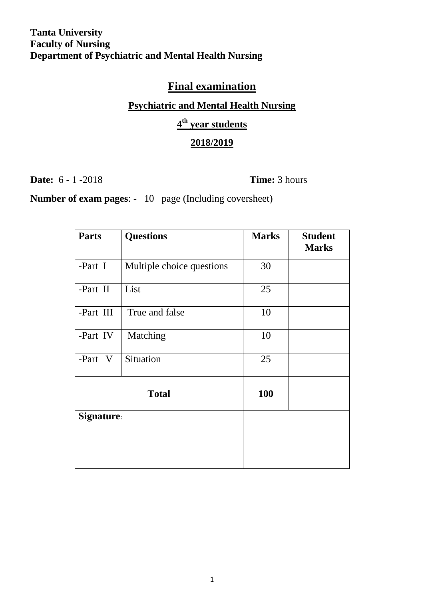# **Final examination**

### **Psychiatric and Mental Health Nursing**

## **4 th year students**

## **2018/2019**

**Date:** 6 - 1 -2018 **Time:** 3 hours

**Number of exam pages**: - 10 page (Including coversheet)

| <b>Parts</b> | <b>Questions</b>          | <b>Marks</b> | <b>Student</b><br><b>Marks</b> |  |
|--------------|---------------------------|--------------|--------------------------------|--|
| -Part I      | Multiple choice questions | 30           |                                |  |
| -Part II     | List                      | 25           |                                |  |
| -Part III    | True and false            |              |                                |  |
| -Part IV     | Matching                  | 10           |                                |  |
| -Part V      | Situation                 | 25           |                                |  |
| <b>Total</b> |                           | 100          |                                |  |
| Signature:   |                           |              |                                |  |
|              |                           |              |                                |  |
|              |                           |              |                                |  |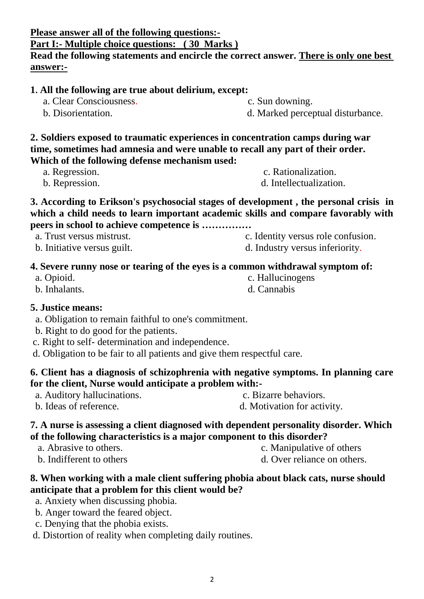**Please answer all of the following questions:-** 

**Part I:- Multiple choice questions: ( 30 Marks )**

**Read the following statements and encircle the correct answer. There is only one best answer:-**

a. Anxiety when discussing phobia.

- 
- d. Distortion of reality when completing daily routines.

**1. All the following are true about delirium, except:**

- a. Clear Consciousness. c. Sun downing.
- b. Disorientation. d. Marked perceptual disturbance.

**2. Soldiers exposed to traumatic experiences in concentration camps during war time, sometimes had amnesia and were unable to recall any part of their order. Which of the following defense mechanism used:** 

- a. Regression.  $\blacksquare$
- b. Repression.  $\Box$  d. Intellectualization.
- **3. According to Erikson's psychosocial stages of development , the personal crisis in which a child needs to learn important academic skills and compare favorably with peers in school to achieve competence is ……………** 
	-
	- b. Initiative versus guilt.  $\qquad \qquad d.$  Industry versus inferiority.

### **4. Severe runny nose or tearing of the eyes is a common withdrawal symptom of:**

 a. Opioid. c. Hallucinogens b. Inhalants. d. Cannabis

### **5. Justice means:**

- a. Obligation to remain faithful to one's commitment.
- b. Right to do good for the patients.
- c. Right to self- determination and independence.
- d. Obligation to be fair to all patients and give them respectful care.

### **6. Client has a diagnosis of schizophrenia with negative symptoms. In planning care for the client, Nurse would anticipate a problem with:-**

 a. Auditory hallucinations. c. Bizarre behaviors. b. Ideas of reference.  $\qquad \qquad d.$  Motivation for activity.

### **7. A nurse is assessing a client diagnosed with dependent personality disorder. Which of the following characteristics is a major component to this disorder?**

- a. Abrasive to others. c. Manipulative of others b. Indifferent to others d. Over reliance on others
- **8. When working with a male client suffering phobia about black cats, nurse should anticipate that a problem for this client would be?**
	-
	- b. Anger toward the feared object.
	- c. Denying that the phobia exists.



- a. Trust versus mistrust. c. Identity versus role confusion.
	-
	-
	-
	-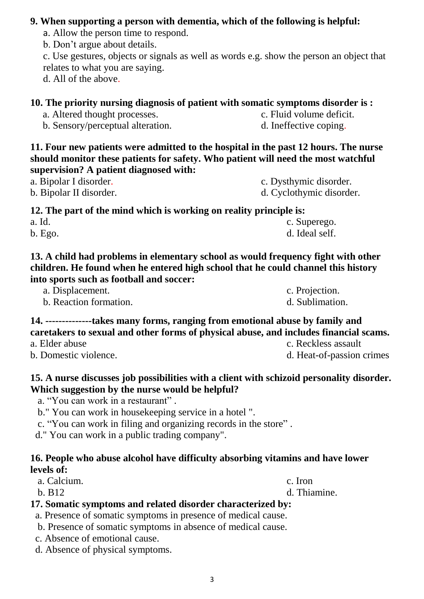## **9. When supporting a person with dementia, which of the following is helpful:**

- a. Allow the person time to respond.
- b. Don't argue about details.

c. Use gestures, objects or signals as well as words e.g. show the person an object that relates to what you are saying.

d. All of the above.

## **10. The priority nursing diagnosis of patient with somatic symptoms disorder is :**

a. Altered thought processes.  $\qquad \qquad c.$  Fluid volume deficit.

b. Sensory/perceptual alteration. d. Ineffective coping.

**11. Four new patients were admitted to the hospital in the past 12 hours. The nurse should monitor these patients for safety. Who patient will need the most watchful supervision? A patient diagnosed with:**

a. Bipolar I disorder.  $\qquad \qquad$  c. Dysthymic disorder.

b. Bipolar II disorder. d. Cyclothymic disorder.

**12. The part of the mind which is working on reality principle is:**

| a. Id.  | c. Superego.   |
|---------|----------------|
| b. Ego. | d. Ideal self. |

**13. A child had problems in elementary school as would frequency fight with other children. He found when he entered high school that he could channel this history into sports such as football and soccer:**

| a. Displacement.       | c. Projection.  |
|------------------------|-----------------|
| b. Reaction formation. | d. Sublimation. |

## **14. --------------takes many forms, ranging from emotional abuse by family and caretakers to sexual and other forms of physical abuse, and includes financial scams.**

a. Elder abuse c. Reckless assault

b. Domestic violence. d. Heat-of-passion crimes

## **15. A nurse discusses job possibilities with a client with schizoid personality disorder. Which suggestion by the nurse would be helpful?**

- a. "You can work in a restaurant" .
- b." You can work in housekeeping service in a hotel ".
- c. "You can work in filing and organizing records in the store" .
- d." You can work in a public trading company".

## **16. People who abuse alcohol have difficulty absorbing vitamins and have lower levels of:**

a. Calcium. c. Iron

b. B12 d. Thiamine.

# **17. Somatic symptoms and related disorder characterized by:**

- a. Presence of somatic symptoms in presence of medical cause.
- b. Presence of somatic symptoms in absence of medical cause.
- c. Absence of emotional cause.

d. Absence of physical symptoms.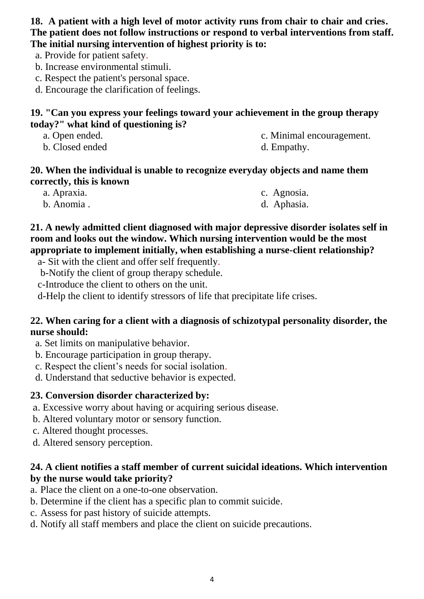**18. A patient with a high level of motor activity runs from chair to chair and cries. The patient does not follow instructions or respond to verbal interventions from staff. The initial nursing intervention of highest priority is to:**

a. Provide for patient safety.

- b. Increase environmental stimuli.
- c. Respect the patient's personal space.

d. Encourage the clarification of feelings.

### **19. "Can you express your feelings toward your achievement in the group therapy today?" what kind of questioning is?**

- 
- a. Open ended. c. Minimal encouragement.
- b. Closed ended d. Empathy.
- 

### **20. When the individual is unable to recognize everyday objects and name them correctly, this is known**

| a. Apraxia. | c. Agnosia. |
|-------------|-------------|
| b. Anomia.  | d. Aphasia. |

## **21. A newly admitted client diagnosed with major depressive disorder isolates self in room and looks out the window. Which nursing intervention would be the most appropriate to implement initially, when establishing a nurse-client relationship?**

a- Sit with the client and offer self frequently.

b-Notify the client of group therapy schedule.

c-Introduce the client to others on the unit.

d-Help the client to identify stressors of life that precipitate life crises.

## **22. When caring for a client with a diagnosis of schizotypal personality disorder, the nurse should:**

- a. Set limits on manipulative behavior.
- b. Encourage participation in group therapy.
- c. Respect the client's needs for social isolation.
- d. Understand that seductive behavior is expected.

## **23. Conversion disorder characterized by:**

- a. Excessive worry about having or acquiring serious disease.
- b. Altered voluntary motor or sensory function.
- c. Altered thought processes.
- d. Altered sensory perception.

## **24. A client notifies a staff member of current suicidal ideations. Which intervention by the nurse would take priority?**

- a. Place the client on a one-to-one observation.
- b. Determine if the client has a specific plan to commit suicide.
- c. Assess for past history of suicide attempts.
- d. Notify all staff members and place the client on suicide precautions.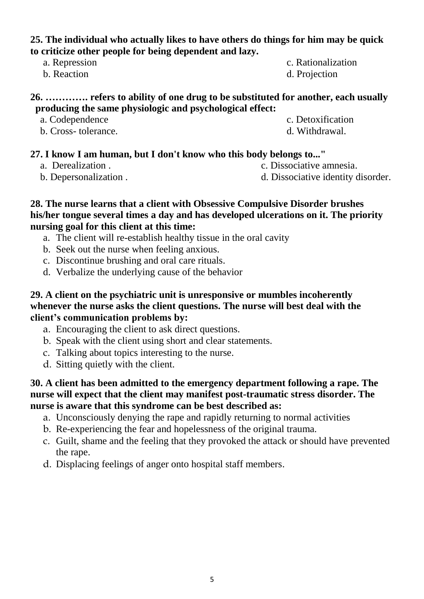### **25. The individual who actually likes to have others do things for him may be quick to criticize other people for being dependent and lazy.**

- 
- 

#### **26. …………. refers to ability of one drug to be substituted for another, each usually producing the same physiologic and psychological effect:**

- a. Codependence c. Detoxification
- b. Cross- tolerance. d. Withdrawal.
- 
- **27. I know I am human, but I don't know who this body belongs to..."**
	-
	-
	- a. Derealization . c. Dissociative amnesia.
	- b. Depersonalization .  $\qquad \qquad d. \text{ Dissecutive identity disorder.}$

### **28. The nurse learns that a client with Obsessive Compulsive Disorder brushes his/her tongue several times a day and has developed ulcerations on it. The priority nursing goal for this client at this time:**

- a. The client will re-establish healthy tissue in the oral cavity
- b. Seek out the nurse when feeling anxious.
- c. Discontinue brushing and oral care rituals.
- d. Verbalize the underlying cause of the behavior

#### **29. A client on the psychiatric unit is unresponsive or mumbles incoherently whenever the nurse asks the client questions. The nurse will best deal with the client's communication problems by:**

- a. Encouraging the client to ask direct questions.
- b. Speak with the client using short and clear statements.
- c. Talking about topics interesting to the nurse.
- d. Sitting quietly with the client.

### **30. A client has been admitted to the emergency department following a rape. The nurse will expect that the client may manifest post-traumatic stress disorder. The nurse is aware that this syndrome can be best described as:**

- a. Unconsciously denying the rape and rapidly returning to normal activities
- b. Re-experiencing the fear and hopelessness of the original trauma.
- c. Guilt, shame and the feeling that they provoked the attack or should have prevented the rape.
- d. Displacing feelings of anger onto hospital staff members.
- a. Repression c. Rationalization
- b. Reaction d. Projection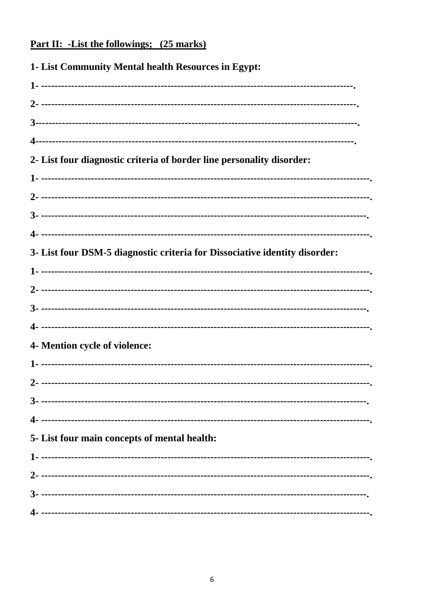# <u>Part II: -List the followings; (25 marks)</u>

| 1- List Community Mental health Resources in Egypt:                        |
|----------------------------------------------------------------------------|
|                                                                            |
|                                                                            |
|                                                                            |
|                                                                            |
| 2- List four diagnostic criteria of border line personality disorder:      |
|                                                                            |
|                                                                            |
|                                                                            |
|                                                                            |
| 3- List four DSM-5 diagnostic criteria for Dissociative identity disorder: |
|                                                                            |
|                                                                            |
|                                                                            |
|                                                                            |
| 4- Mention cycle of violence:                                              |
|                                                                            |
|                                                                            |
|                                                                            |
|                                                                            |
| 5- List four main concepts of mental health:                               |
|                                                                            |
|                                                                            |
|                                                                            |
|                                                                            |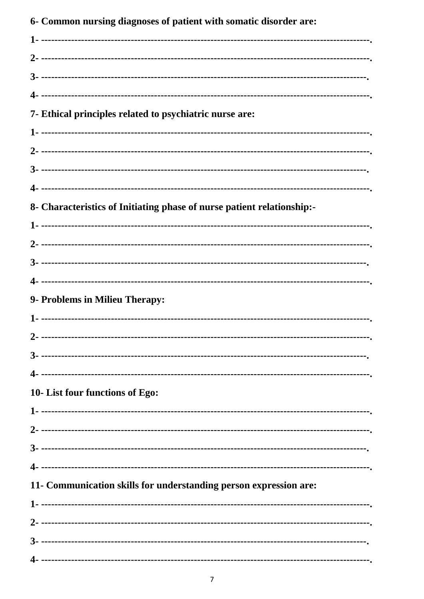6- Common nursing diagnoses of patient with somatic disorder are: 7- Ethical principles related to psychiatric nurse are: 8- Characteristics of Initiating phase of nurse patient relationship:-9- Problems in Milieu Therapy: 10- List four functions of Ego: 11- Communication skills for understanding person expression are: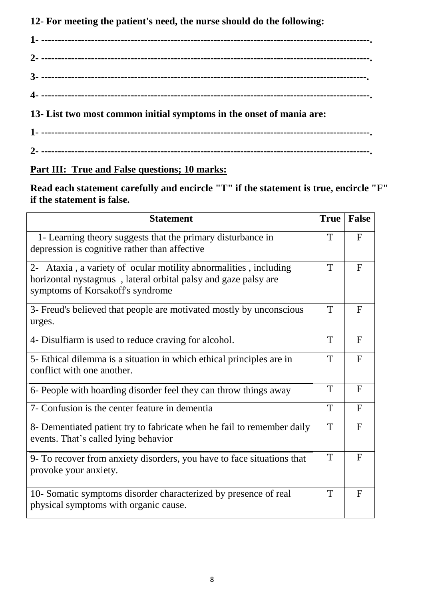**12- For meeting the patient's need, the nurse should do the following:**

**1- ---------------------------------------------------------------------------------------------------. 2- ---------------------------------------------------------------------------------------------------. 3- --------------------------------------------------------------------------------------------------. 4- ---------------------------------------------------------------------------------------------------. 13- List two most common initial symptoms in the onset of mania are: 1- ---------------------------------------------------------------------------------------------------. 2- ---------------------------------------------------------------------------------------------------.**

## **Part III: True and False questions; 10 marks:**

**Read each statement carefully and encircle "T" if the statement is true, encircle "F" if the statement is false.**

| <b>Statement</b>                                                                                                                                                       | <b>True</b> | <b>False</b> |
|------------------------------------------------------------------------------------------------------------------------------------------------------------------------|-------------|--------------|
| 1- Learning theory suggests that the primary disturbance in<br>depression is cognitive rather than affective                                                           |             | $\mathbf{F}$ |
| 2- Ataxia, a variety of ocular motility abnormalities, including<br>horizontal nystagmus, lateral orbital palsy and gaze palsy are<br>symptoms of Korsakoff's syndrome |             | $\mathbf{F}$ |
| 3- Freud's believed that people are motivated mostly by unconscious<br>urges.                                                                                          |             | $\mathbf{F}$ |
| 4- Disulfiarm is used to reduce craving for alcohol.                                                                                                                   |             | $\mathbf{F}$ |
| 5- Ethical dilemma is a situation in which ethical principles are in<br>conflict with one another.                                                                     |             | F            |
| 6- People with hoarding disorder feel they can throw things away                                                                                                       |             | $\mathbf{F}$ |
| 7- Confusion is the center feature in dementia                                                                                                                         |             | $\mathbf{F}$ |
| 8- Dementiated patient try to fabricate when he fail to remember daily<br>events. That's called lying behavior                                                         |             | $\mathbf{F}$ |
| 9- To recover from anxiety disorders, you have to face situations that<br>provoke your anxiety.                                                                        |             | $\mathbf{F}$ |
| 10- Somatic symptoms disorder characterized by presence of real<br>physical symptoms with organic cause.                                                               |             | $\mathbf{F}$ |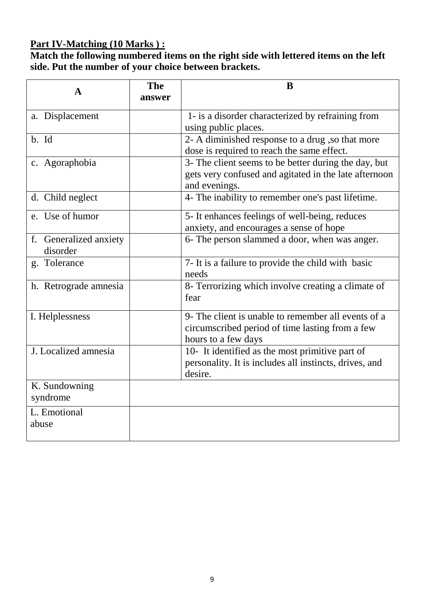## **Part IV-Matching (10 Marks ) :**

**Match the following numbered items on the right side with lettered items on the left side. Put the number of your choice between brackets.** 

| $\mathbf{A}$                       | <b>The</b><br>answer | B                                                                                                                              |
|------------------------------------|----------------------|--------------------------------------------------------------------------------------------------------------------------------|
| a. Displacement                    |                      | 1- is a disorder characterized by refraining from<br>using public places.                                                      |
| b. Id                              |                      | 2- A diminished response to a drug, so that more<br>dose is required to reach the same effect.                                 |
| c. Agoraphobia                     |                      | 3- The client seems to be better during the day, but<br>gets very confused and agitated in the late afternoon<br>and evenings. |
| d. Child neglect                   |                      | 4- The inability to remember one's past lifetime.                                                                              |
| e. Use of humor                    |                      | 5- It enhances feelings of well-being, reduces<br>anxiety, and encourages a sense of hope                                      |
| f. Generalized anxiety<br>disorder |                      | 6- The person slammed a door, when was anger.                                                                                  |
| g. Tolerance                       |                      | 7- It is a failure to provide the child with basic<br>needs                                                                    |
| h. Retrograde amnesia              |                      | 8- Terrorizing which involve creating a climate of<br>fear                                                                     |
| I. Helplessness                    |                      | 9- The client is unable to remember all events of a<br>circumscribed period of time lasting from a few<br>hours to a few days  |
| J. Localized amnesia               |                      | 10- It identified as the most primitive part of<br>personality. It is includes all instincts, drives, and<br>desire.           |
| K. Sundowning<br>syndrome          |                      |                                                                                                                                |
| L. Emotional<br>abuse              |                      |                                                                                                                                |